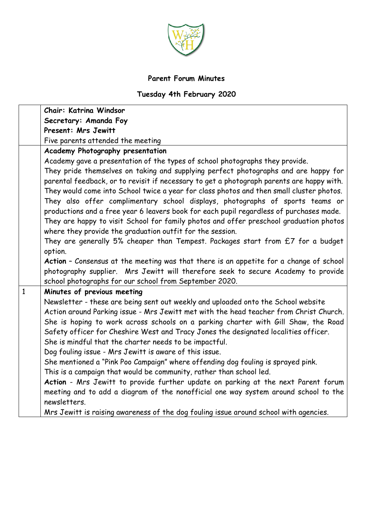

## **Parent Forum Minutes**

## **Tuesday 4th February 2020**

|              | Chair: Katrina Windsor                                                                                                                                                                                                                                                                                                                                                                                                                                                                                                                                                                                                                                                                          |
|--------------|-------------------------------------------------------------------------------------------------------------------------------------------------------------------------------------------------------------------------------------------------------------------------------------------------------------------------------------------------------------------------------------------------------------------------------------------------------------------------------------------------------------------------------------------------------------------------------------------------------------------------------------------------------------------------------------------------|
|              | Secretary: Amanda Foy                                                                                                                                                                                                                                                                                                                                                                                                                                                                                                                                                                                                                                                                           |
|              | Present: Mrs Jewitt                                                                                                                                                                                                                                                                                                                                                                                                                                                                                                                                                                                                                                                                             |
|              | Five parents attended the meeting                                                                                                                                                                                                                                                                                                                                                                                                                                                                                                                                                                                                                                                               |
|              | Academy Photography presentation                                                                                                                                                                                                                                                                                                                                                                                                                                                                                                                                                                                                                                                                |
|              | Academy gave a presentation of the types of school photographs they provide.<br>They pride themselves on taking and supplying perfect photographs and are happy for<br>parental feedback, or to revisit if necessary to get a photograph parents are happy with.<br>They would come into School twice a year for class photos and then small cluster photos.<br>They also offer complimentary school displays, photographs of sports teams or<br>productions and a free year 6 leavers book for each pupil regardless of purchases made.<br>They are happy to visit School for family photos and offer preschool graduation photos<br>where they provide the graduation outfit for the session. |
|              | They are generally 5% cheaper than Tempest. Packages start from £7 for a budget<br>option.                                                                                                                                                                                                                                                                                                                                                                                                                                                                                                                                                                                                      |
|              | Action - Consensus at the meeting was that there is an appetite for a change of school<br>photography supplier. Mrs Jewitt will therefore seek to secure Academy to provide<br>school photographs for our school from September 2020.                                                                                                                                                                                                                                                                                                                                                                                                                                                           |
| $\mathbf{1}$ | Minutes of previous meeting                                                                                                                                                                                                                                                                                                                                                                                                                                                                                                                                                                                                                                                                     |
|              | Newsletter - these are being sent out weekly and uploaded onto the School website<br>Action around Parking issue - Mrs Jewitt met with the head teacher from Christ Church.<br>She is hoping to work across schools on a parking charter with Gill Shaw, the Road<br>Safety officer for Cheshire West and Tracy Jones the designated localities officer.<br>She is mindful that the charter needs to be impactful.<br>Dog fouling issue - Mrs Jewitt is aware of this issue.<br>She mentioned a "Pink Poo Campaign" where offending dog fouling is sprayed pink.                                                                                                                                |
|              | This is a campaign that would be community, rather than school led.                                                                                                                                                                                                                                                                                                                                                                                                                                                                                                                                                                                                                             |
|              | Action - Mrs Jewitt to provide further update on parking at the next Parent forum<br>meeting and to add a diagram of the nonofficial one way system around school to the<br>newsletters.                                                                                                                                                                                                                                                                                                                                                                                                                                                                                                        |
|              | Mrs Jewitt is raising awareness of the dog fouling issue around school with agencies.                                                                                                                                                                                                                                                                                                                                                                                                                                                                                                                                                                                                           |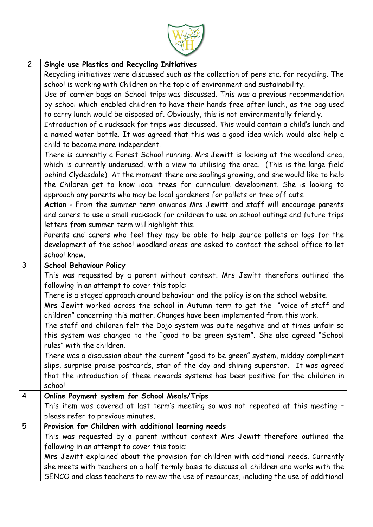

| $\overline{c}$ | Single use Plastics and Recycling Initiatives                                               |
|----------------|---------------------------------------------------------------------------------------------|
|                | Recycling initiatives were discussed such as the collection of pens etc. for recycling. The |
|                | school is working with Children on the topic of environment and sustainability.             |
|                | Use of carrier bags on School trips was discussed. This was a previous recommendation       |
|                | by school which enabled children to have their hands free after lunch, as the bag used      |
|                | to carry lunch would be disposed of. Obviously, this is not environmentally friendly.       |
|                | Introduction of a rucksack for trips was discussed. This would contain a child's lunch and  |
|                | a named water bottle. It was agreed that this was a good idea which would also help a       |
|                | child to become more independent.                                                           |
|                | There is currently a Forest School running. Mrs Jewitt is looking at the woodland area,     |
|                | which is currently underused, with a view to utilising the area. (This is the large field   |
|                | behind Clydesdale). At the moment there are saplings growing, and she would like to help    |
|                | the Children get to know local trees for curriculum development. She is looking to          |
|                | approach any parents who may be local gardeners for pallets or tree off cuts.               |
|                | Action - From the summer term onwards Mrs Jewitt and staff will encourage parents           |
|                | and carers to use a small rucksack for children to use on school outings and future trips   |
|                | letters from summer term will highlight this.                                               |
|                | Parents and carers who feel they may be able to help source pallets or logs for the         |
|                | development of the school woodland areas are asked to contact the school office to let      |
|                | school know.                                                                                |
| $\overline{3}$ | <b>School Behaviour Policy</b>                                                              |
|                | This was requested by a parent without context. Mrs Jewitt therefore outlined the           |
|                | following in an attempt to cover this topic:                                                |
|                | There is a staged approach around behaviour and the policy is on the school website.        |
|                | Mrs Jewitt worked across the school in Autumn term to get the "voice of staff and           |
|                | children" concerning this matter. Changes have been implemented from this work.             |
|                | The staff and children felt the Dojo system was quite negative and at times unfair so       |
|                | this system was changed to the "good to be green system". She also agreed "School           |
|                | rules" with the children.                                                                   |
|                | There was a discussion about the current "good to be green" system, midday compliment       |
|                | slips, surprise praise postcards, star of the day and shining superstar. It was agreed      |
|                | that the introduction of these rewards systems has been positive for the children in        |
|                | school.                                                                                     |
| $\overline{4}$ | Online Payment system for School Meals/Trips                                                |
|                | This item was covered at last term's meeting so was not repeated at this meeting -          |
|                | please refer to previous minutes,                                                           |
| 5              | Provision for Children with additional learning needs                                       |
|                | This was requested by a parent without context Mrs Jewitt therefore outlined the            |
|                | following in an attempt to cover this topic:                                                |
|                | Mrs Jewitt explained about the provision for children with additional needs. Currently      |
|                | she meets with teachers on a half termly basis to discuss all children and works with the   |
|                | SENCO and class teachers to review the use of resources, including the use of additional    |